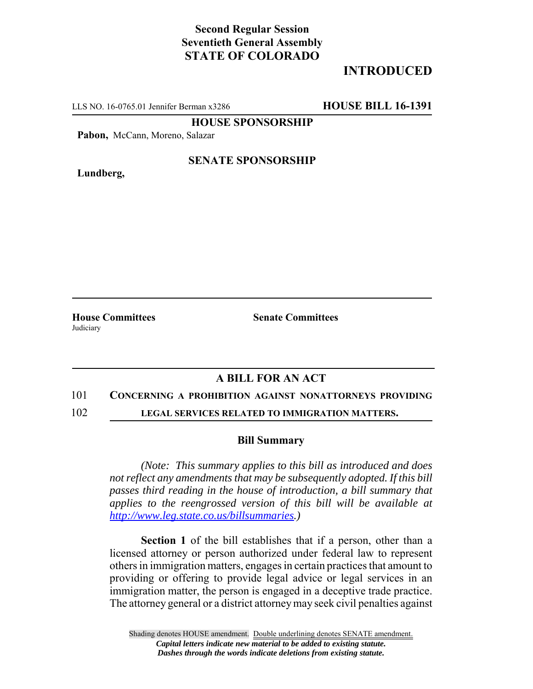# **Second Regular Session Seventieth General Assembly STATE OF COLORADO**

# **INTRODUCED**

LLS NO. 16-0765.01 Jennifer Berman x3286 **HOUSE BILL 16-1391**

**HOUSE SPONSORSHIP**

**Pabon,** McCann, Moreno, Salazar

**Lundberg,**

#### **SENATE SPONSORSHIP**

**House Committees Senate Committees** Judiciary

### **A BILL FOR AN ACT**

#### 101 **CONCERNING A PROHIBITION AGAINST NONATTORNEYS PROVIDING**

102 **LEGAL SERVICES RELATED TO IMMIGRATION MATTERS.**

#### **Bill Summary**

*(Note: This summary applies to this bill as introduced and does not reflect any amendments that may be subsequently adopted. If this bill passes third reading in the house of introduction, a bill summary that applies to the reengrossed version of this bill will be available at http://www.leg.state.co.us/billsummaries.)*

**Section 1** of the bill establishes that if a person, other than a licensed attorney or person authorized under federal law to represent others in immigration matters, engages in certain practices that amount to providing or offering to provide legal advice or legal services in an immigration matter, the person is engaged in a deceptive trade practice. The attorney general or a district attorney may seek civil penalties against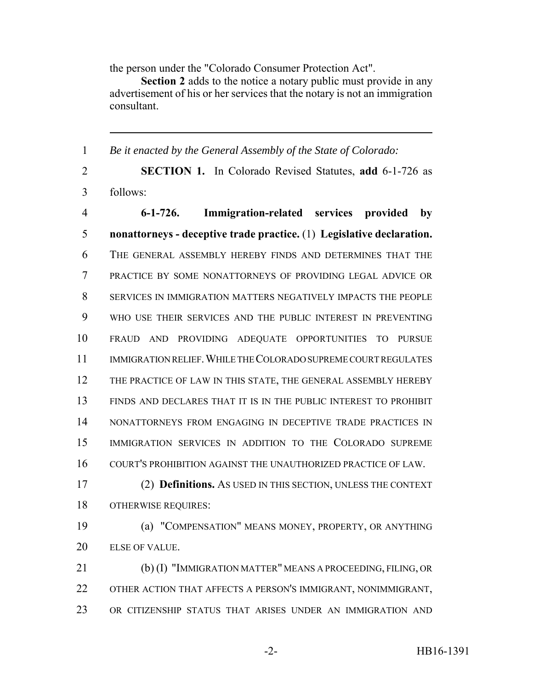the person under the "Colorado Consumer Protection Act".

**Section 2** adds to the notice a notary public must provide in any advertisement of his or her services that the notary is not an immigration consultant.

 *Be it enacted by the General Assembly of the State of Colorado:* **SECTION 1.** In Colorado Revised Statutes, **add** 6-1-726 as follows: **6-1-726. Immigration-related services provided by nonattorneys - deceptive trade practice.** (1) **Legislative declaration.** THE GENERAL ASSEMBLY HEREBY FINDS AND DETERMINES THAT THE PRACTICE BY SOME NONATTORNEYS OF PROVIDING LEGAL ADVICE OR SERVICES IN IMMIGRATION MATTERS NEGATIVELY IMPACTS THE PEOPLE WHO USE THEIR SERVICES AND THE PUBLIC INTEREST IN PREVENTING FRAUD AND PROVIDING ADEQUATE OPPORTUNITIES TO PURSUE 11 IMMIGRATION RELIEF. WHILE THE COLORADO SUPREME COURT REGULATES THE PRACTICE OF LAW IN THIS STATE, THE GENERAL ASSEMBLY HEREBY FINDS AND DECLARES THAT IT IS IN THE PUBLIC INTEREST TO PROHIBIT 14 NONATTORNEYS FROM ENGAGING IN DECEPTIVE TRADE PRACTICES IN IMMIGRATION SERVICES IN ADDITION TO THE COLORADO SUPREME COURT'S PROHIBITION AGAINST THE UNAUTHORIZED PRACTICE OF LAW. (2) **Definitions.** AS USED IN THIS SECTION, UNLESS THE CONTEXT OTHERWISE REQUIRES: (a) "COMPENSATION" MEANS MONEY, PROPERTY, OR ANYTHING ELSE OF VALUE. (b) (I) "IMMIGRATION MATTER" MEANS A PROCEEDING, FILING, OR OTHER ACTION THAT AFFECTS A PERSON'S IMMIGRANT, NONIMMIGRANT, OR CITIZENSHIP STATUS THAT ARISES UNDER AN IMMIGRATION AND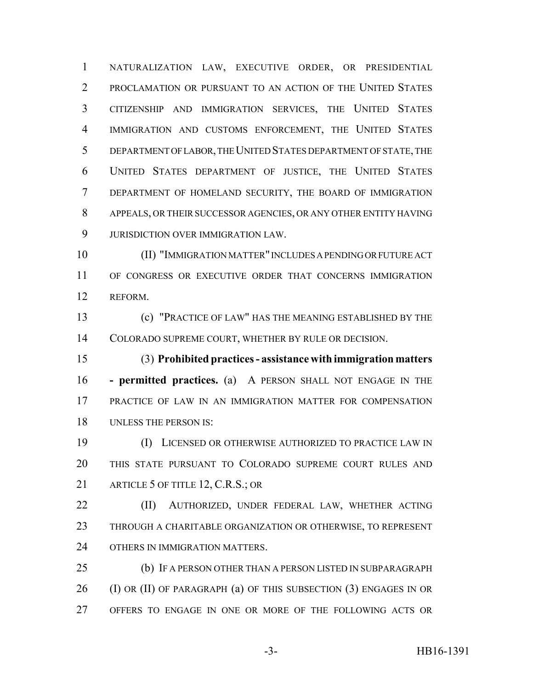NATURALIZATION LAW, EXECUTIVE ORDER, OR PRESIDENTIAL PROCLAMATION OR PURSUANT TO AN ACTION OF THE UNITED STATES CITIZENSHIP AND IMMIGRATION SERVICES, THE UNITED STATES IMMIGRATION AND CUSTOMS ENFORCEMENT, THE UNITED STATES DEPARTMENT OF LABOR, THE UNITED STATES DEPARTMENT OF STATE, THE UNITED STATES DEPARTMENT OF JUSTICE, THE UNITED STATES DEPARTMENT OF HOMELAND SECURITY, THE BOARD OF IMMIGRATION APPEALS, OR THEIR SUCCESSOR AGENCIES, OR ANY OTHER ENTITY HAVING JURISDICTION OVER IMMIGRATION LAW.

 (II) "IMMIGRATION MATTER" INCLUDES A PENDING OR FUTURE ACT OF CONGRESS OR EXECUTIVE ORDER THAT CONCERNS IMMIGRATION REFORM.

 (c) "PRACTICE OF LAW" HAS THE MEANING ESTABLISHED BY THE COLORADO SUPREME COURT, WHETHER BY RULE OR DECISION.

 (3) **Prohibited practices - assistance with immigration matters - permitted practices.** (a) A PERSON SHALL NOT ENGAGE IN THE PRACTICE OF LAW IN AN IMMIGRATION MATTER FOR COMPENSATION UNLESS THE PERSON IS:

 (I) LICENSED OR OTHERWISE AUTHORIZED TO PRACTICE LAW IN THIS STATE PURSUANT TO COLORADO SUPREME COURT RULES AND 21 ARTICLE 5 OF TITLE 12, C.R.S.; OR

 (II) AUTHORIZED, UNDER FEDERAL LAW, WHETHER ACTING THROUGH A CHARITABLE ORGANIZATION OR OTHERWISE, TO REPRESENT OTHERS IN IMMIGRATION MATTERS.

 (b) IF A PERSON OTHER THAN A PERSON LISTED IN SUBPARAGRAPH 26 (I) OR (II) OF PARAGRAPH (a) OF THIS SUBSECTION (3) ENGAGES IN OR OFFERS TO ENGAGE IN ONE OR MORE OF THE FOLLOWING ACTS OR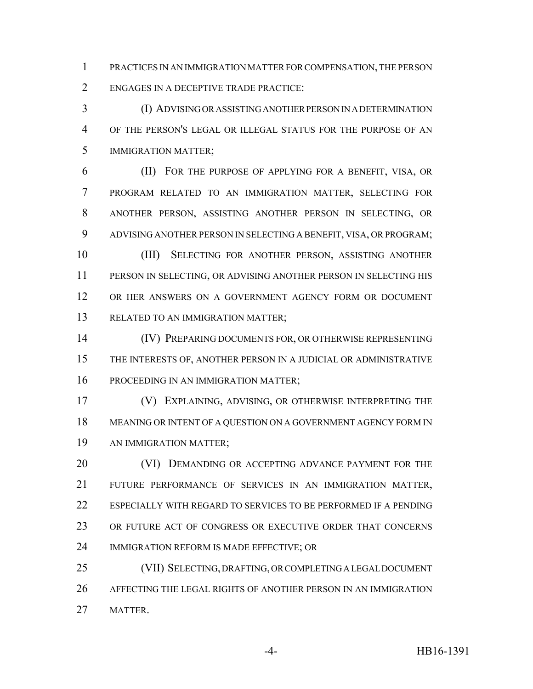PRACTICES IN AN IMMIGRATION MATTER FOR COMPENSATION, THE PERSON ENGAGES IN A DECEPTIVE TRADE PRACTICE:

 (I) ADVISING OR ASSISTING ANOTHER PERSON IN A DETERMINATION OF THE PERSON'S LEGAL OR ILLEGAL STATUS FOR THE PURPOSE OF AN IMMIGRATION MATTER;

 (II) FOR THE PURPOSE OF APPLYING FOR A BENEFIT, VISA, OR PROGRAM RELATED TO AN IMMIGRATION MATTER, SELECTING FOR ANOTHER PERSON, ASSISTING ANOTHER PERSON IN SELECTING, OR ADVISING ANOTHER PERSON IN SELECTING A BENEFIT, VISA, OR PROGRAM;

 (III) SELECTING FOR ANOTHER PERSON, ASSISTING ANOTHER PERSON IN SELECTING, OR ADVISING ANOTHER PERSON IN SELECTING HIS OR HER ANSWERS ON A GOVERNMENT AGENCY FORM OR DOCUMENT RELATED TO AN IMMIGRATION MATTER;

 (IV) PREPARING DOCUMENTS FOR, OR OTHERWISE REPRESENTING THE INTERESTS OF, ANOTHER PERSON IN A JUDICIAL OR ADMINISTRATIVE PROCEEDING IN AN IMMIGRATION MATTER;

 (V) EXPLAINING, ADVISING, OR OTHERWISE INTERPRETING THE MEANING OR INTENT OF A QUESTION ON A GOVERNMENT AGENCY FORM IN AN IMMIGRATION MATTER;

**(VI) DEMANDING OR ACCEPTING ADVANCE PAYMENT FOR THE**  FUTURE PERFORMANCE OF SERVICES IN AN IMMIGRATION MATTER, ESPECIALLY WITH REGARD TO SERVICES TO BE PERFORMED IF A PENDING 23 OR FUTURE ACT OF CONGRESS OR EXECUTIVE ORDER THAT CONCERNS IMMIGRATION REFORM IS MADE EFFECTIVE; OR

 (VII) SELECTING, DRAFTING, OR COMPLETING A LEGAL DOCUMENT AFFECTING THE LEGAL RIGHTS OF ANOTHER PERSON IN AN IMMIGRATION MATTER.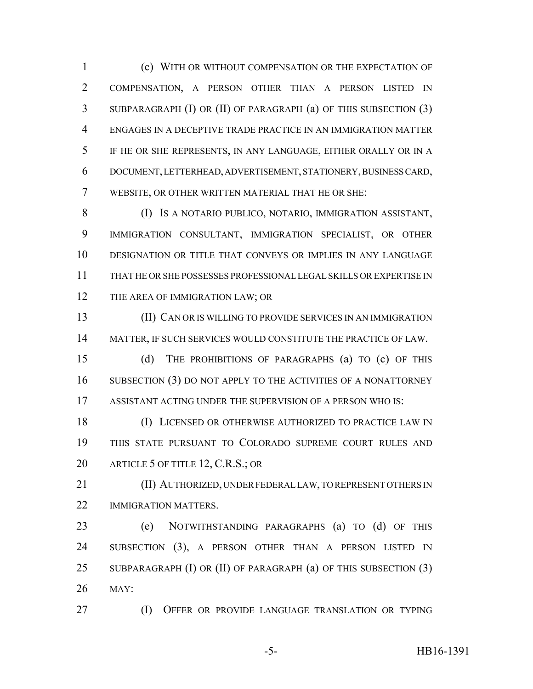(c) WITH OR WITHOUT COMPENSATION OR THE EXPECTATION OF COMPENSATION, A PERSON OTHER THAN A PERSON LISTED IN SUBPARAGRAPH (I) OR (II) OF PARAGRAPH (a) OF THIS SUBSECTION (3) ENGAGES IN A DECEPTIVE TRADE PRACTICE IN AN IMMIGRATION MATTER IF HE OR SHE REPRESENTS, IN ANY LANGUAGE, EITHER ORALLY OR IN A DOCUMENT, LETTERHEAD, ADVERTISEMENT, STATIONERY, BUSINESS CARD, WEBSITE, OR OTHER WRITTEN MATERIAL THAT HE OR SHE:

 (I) IS A NOTARIO PUBLICO, NOTARIO, IMMIGRATION ASSISTANT, IMMIGRATION CONSULTANT, IMMIGRATION SPECIALIST, OR OTHER DESIGNATION OR TITLE THAT CONVEYS OR IMPLIES IN ANY LANGUAGE THAT HE OR SHE POSSESSES PROFESSIONAL LEGAL SKILLS OR EXPERTISE IN 12 THE AREA OF IMMIGRATION LAW; OR

 (II) CAN OR IS WILLING TO PROVIDE SERVICES IN AN IMMIGRATION MATTER, IF SUCH SERVICES WOULD CONSTITUTE THE PRACTICE OF LAW.

 (d) THE PROHIBITIONS OF PARAGRAPHS (a) TO (c) OF THIS 16 SUBSECTION (3) DO NOT APPLY TO THE ACTIVITIES OF A NONATTORNEY ASSISTANT ACTING UNDER THE SUPERVISION OF A PERSON WHO IS:

 (I) LICENSED OR OTHERWISE AUTHORIZED TO PRACTICE LAW IN THIS STATE PURSUANT TO COLORADO SUPREME COURT RULES AND 20 ARTICLE 5 OF TITLE 12, C.R.S.; OR

 (II) AUTHORIZED, UNDER FEDERAL LAW, TO REPRESENT OTHERS IN 22 IMMIGRATION MATTERS.

 (e) NOTWITHSTANDING PARAGRAPHS (a) TO (d) OF THIS 24 SUBSECTION (3), A PERSON OTHER THAN A PERSON LISTED IN SUBPARAGRAPH (I) OR (II) OF PARAGRAPH (a) OF THIS SUBSECTION (3) MAY:

**(I) OFFER OR PROVIDE LANGUAGE TRANSLATION OR TYPING** 

-5- HB16-1391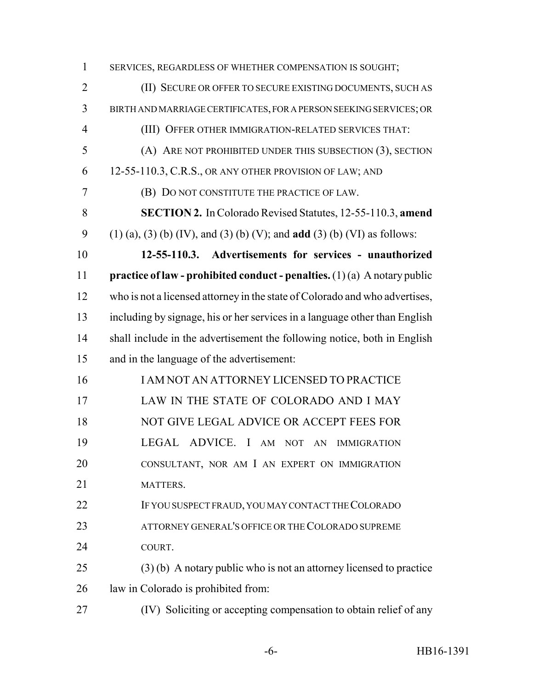SERVICES, REGARDLESS OF WHETHER COMPENSATION IS SOUGHT; (II) SECURE OR OFFER TO SECURE EXISTING DOCUMENTS, SUCH AS BIRTH AND MARRIAGE CERTIFICATES, FOR A PERSON SEEKING SERVICES; OR (III) OFFER OTHER IMMIGRATION-RELATED SERVICES THAT: (A) ARE NOT PROHIBITED UNDER THIS SUBSECTION (3), SECTION 6 12-55-110.3, C.R.S., OR ANY OTHER PROVISION OF LAW; AND (B) DO NOT CONSTITUTE THE PRACTICE OF LAW. **SECTION 2.** In Colorado Revised Statutes, 12-55-110.3, **amend** (1) (a), (3) (b) (IV), and (3) (b) (V); and **add** (3) (b) (VI) as follows: **12-55-110.3. Advertisements for services - unauthorized practice of law - prohibited conduct - penalties.** (1) (a) A notary public who is not a licensed attorney in the state of Colorado and who advertises, including by signage, his or her services in a language other than English 14 shall include in the advertisement the following notice, both in English and in the language of the advertisement: I AM NOT AN ATTORNEY LICENSED TO PRACTICE LAW IN THE STATE OF COLORADO AND I MAY 18 NOT GIVE LEGAL ADVICE OR ACCEPT FEES FOR LEGAL ADVICE. I AM NOT AN IMMIGRATION CONSULTANT, NOR AM I AN EXPERT ON IMMIGRATION 21 MATTERS. IF YOU SUSPECT FRAUD, YOU MAY CONTACT THE COLORADO 23 ATTORNEY GENERAL'S OFFICE OR THE COLORADO SUPREME COURT. (3) (b) A notary public who is not an attorney licensed to practice law in Colorado is prohibited from: (IV) Soliciting or accepting compensation to obtain relief of any